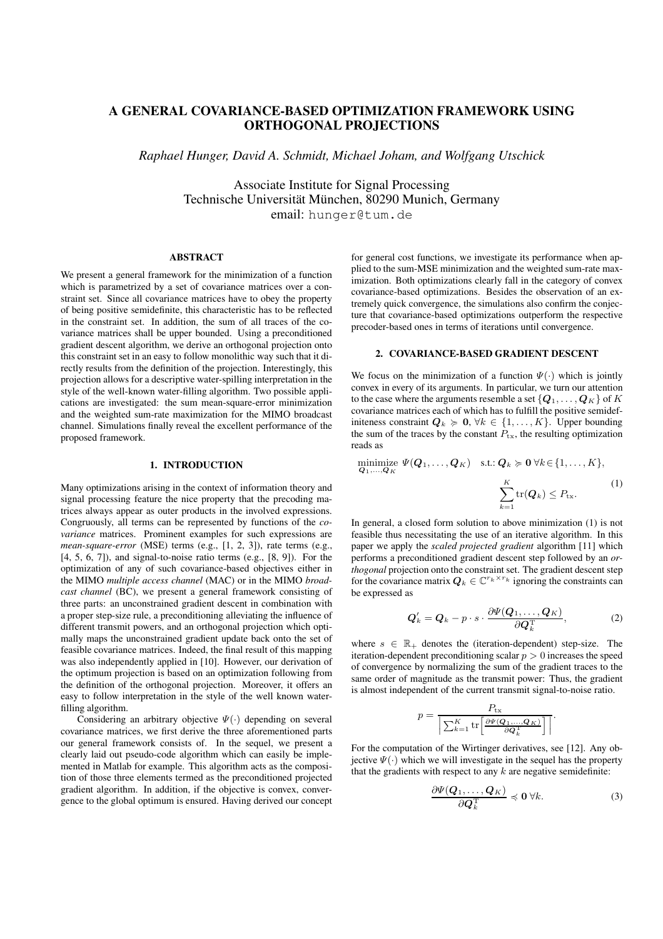# **A GENERAL COVARIANCE-BASED OPTIMIZATION FRAMEWORK USING ORTHOGONAL PROJECTIONS**

*Raphael Hunger, David A. Schmidt, Michael Joham, and Wolfgang Utschick*

Associate Institute for Signal Processing Technische Universität München, 80290 Munich, Germany email: hunger@tum.de

# **ABSTRACT**

We present a general framework for the minimization of a function which is parametrized by a set of covariance matrices over a constraint set. Since all covariance matrices have to obey the property of being positive semidefinite, this characteristic has to be reflected in the constraint set. In addition, the sum of all traces of the covariance matrices shall be upper bounded. Using a preconditioned gradient descent algorithm, we derive an orthogonal projection onto this constraint set in an easy to follow monolithic way such that it directly results from the definition of the projection. Interestingly, this projection allows for a descriptive water-spilling interpretation in the style of the well-known water-filling algorithm. Two possible applications are investigated: the sum mean-square-error minimization and the weighted sum-rate maximization for the MIMO broadcast channel. Simulations finally reveal the excellent performance of the proposed framework.

#### **1. INTRODUCTION**

Many optimizations arising in the context of information theory and signal processing feature the nice property that the precoding matrices always appear as outer products in the involved expressions. Congruously, all terms can be represented by functions of the *covariance* matrices. Prominent examples for such expressions are *mean-square-error* (MSE) terms (e.g., [1, 2, 3]), rate terms (e.g., [4, 5, 6, 7]), and signal-to-noise ratio terms (e.g., [8, 9]). For the optimization of any of such covariance-based objectives either in the MIMO *multiple access channel* (MAC) or in the MIMO *broadcast channel* (BC), we present a general framework consisting of three parts: an unconstrained gradient descent in combination with a proper step-size rule, a preconditioning alleviating the influence of different transmit powers, and an orthogonal projection which optimally maps the unconstrained gradient update back onto the set of feasible covariance matrices. Indeed, the final result of this mapping was also independently applied in [10]. However, our derivation of the optimum projection is based on an optimization following from the definition of the orthogonal projection. Moreover, it offers an easy to follow interpretation in the style of the well known waterfilling algorithm.

Considering an arbitrary objective  $\Psi(\cdot)$  depending on several covariance matrices, we first derive the three aforementioned parts our general framework consists of. In the sequel, we present a clearly laid out pseudo-code algorithm which can easily be implemented in Matlab for example. This algorithm acts as the composition of those three elements termed as the preconditioned projected gradient algorithm. In addition, if the objective is convex, convergence to the global optimum is ensured. Having derived our concept

for general cost functions, we investigate its performance when applied to the sum-MSE minimization and the weighted sum-rate maximization. Both optimizations clearly fall in the category of convex covariance-based optimizations. Besides the observation of an extremely quick convergence, the simulations also confirm the conjecture that covariance-based optimizations outperform the respective precoder-based ones in terms of iterations until convergence.

# **2. COVARIANCE-BASED GRADIENT DESCENT**

We focus on the minimization of a function  $\Psi(\cdot)$  which is jointly convex in every of its arguments. In particular, we turn our attention to the case where the arguments resemble a set  $\{Q_1, \ldots, Q_K\}$  of K covariance matrices each of which has to fulfill the positive semidefiniteness constraint  $Q_k \ge 0, \forall k \in \{1, ..., K\}$ . Upper bounding the sum of the traces by the constant  $P_{\text{tx}}$ , the resulting optimization reads as

minimize 
$$
\Psi(\mathbf{Q}_1, ..., \mathbf{Q}_K)
$$
 s.t.:  $\mathbf{Q}_k \geq \mathbf{0} \forall k \in \{1, ..., K\},$   

$$
\sum_{k=1}^K \text{tr}(\mathbf{Q}_k) \leq P_{\text{tx}}.
$$
 (1)

In general, a closed form solution to above minimization (1) is not feasible thus necessitating the use of an iterative algorithm. In this paper we apply the *scaled projected gradient* algorithm [11] which performs a preconditioned gradient descent step followed by an *orthogonal* projection onto the constraint set. The gradient descent step for the covariance matrix  $Q_k \in \mathbb{C}^{r_k \times r_k}$  ignoring the constraints can be expressed as

$$
\boldsymbol{Q}'_k = \boldsymbol{Q}_k - p \cdot s \cdot \frac{\partial \boldsymbol{\Psi}(\boldsymbol{Q}_1, \dots, \boldsymbol{Q}_K)}{\partial \boldsymbol{Q}_k^{\mathrm{T}}},
$$
 (2)

where  $s \in \mathbb{R}_+$  denotes the (iteration-dependent) step-size. The iteration-dependent preconditioning scalar  $p > 0$  increases the speed of convergence by normalizing the sum of the gradient traces to the same order of magnitude as the transmit power: Thus, the gradient is almost independent of the current transmit signal-to-noise ratio.

$$
p = \frac{P_{\text{tx}}}{\left| \sum_{k=1}^{K} \text{tr} \left[ \frac{\partial \Psi(\mathbf{Q}_1, \dots, \mathbf{Q}_K)}{\partial \mathbf{Q}_k^{\text{T}}} \right] \right|}
$$

For the computation of the Wirtinger derivatives, see [12]. Any objective  $\Psi(\cdot)$  which we will investigate in the sequel has the property that the gradients with respect to any  $k$  are negative semidefinite:

$$
\frac{\partial \Psi(\boldsymbol{Q}_1, \dots, \boldsymbol{Q}_K)}{\partial \boldsymbol{Q}_k^{\mathrm{T}}} \preccurlyeq \mathbf{0} \ \forall k. \tag{3}
$$

.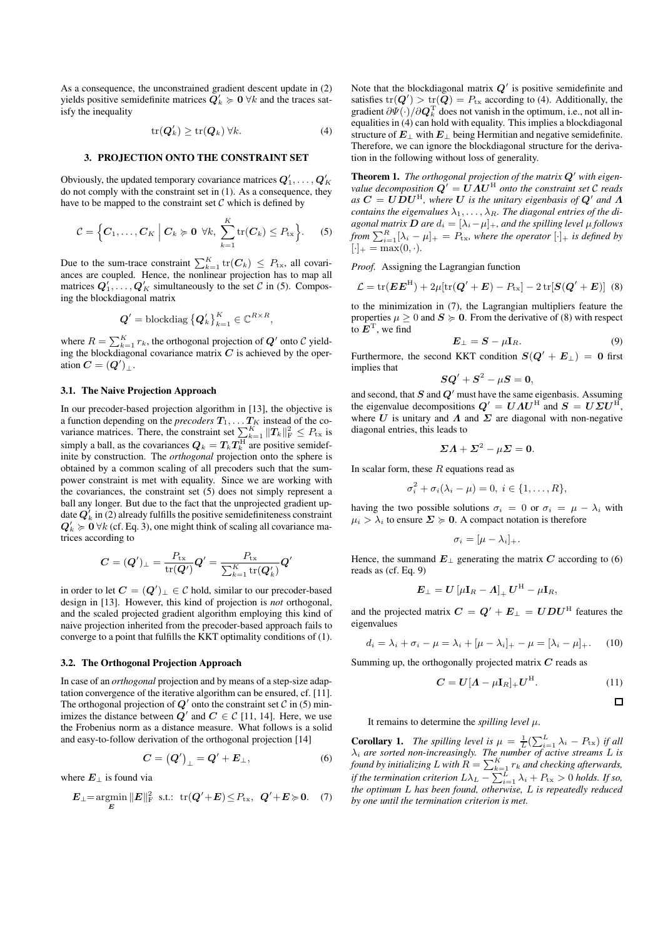As a consequence, the unconstrained gradient descent update in (2) yields positive semidefinite matrices  $\mathbf{Q}'_k \succcurlyeq \mathbf{0}$   $\forall k$  and the traces satisfy the inequality

$$
\operatorname{tr}(\boldsymbol{Q}'_k) \ge \operatorname{tr}(\boldsymbol{Q}_k) \,\forall k. \tag{4}
$$

## **3. PROJECTION ONTO THE CONSTRAINT SET**

Obviously, the updated temporary covariance matrices  $Q'_1, \ldots, Q'_K$ do not comply with the constraint set in (1). As a consequence, they have to be mapped to the constraint set  $\mathcal C$  which is defined by

$$
C = \Big\{C_1, \ldots, C_K \; \Big| \; C_k \succcurlyeq 0 \; \forall k, \; \sum_{k=1}^K \mathrm{tr}(C_k) \leq P_{\mathrm{tx}} \Big\}.
$$
 (5)

Due to the sum-trace constraint  $\sum_{k=1}^{K} tr(C_k) \leq P_{tx}$ , all covariances are coupled. Hence, the nonlinear projection has to map all matrices  $Q'_1, \ldots, Q'_K$  simultaneously to the set C in (5). Composing the blockdiagonal matrix

$$
\boldsymbol{Q}^{\prime}=\operatorname{blockdiag}\left\{\boldsymbol{Q}_{k}^{\prime}\right\}_{k=1}^{K}\in\mathbb{C}^{R\times R},
$$

where  $R = \sum_{k=1}^{K} r_k$ , the orthogonal projection of  $Q'$  onto  $C$  yielding the blockdiagonal covariance matrix  $C$  is achieved by the operation  $C = (Q')_{\perp}$ .

## **3.1. The Naive Projection Approach**

In our precoder-based projection algorithm in [13], the objective is a function depending on the *precoders*  $T_1, \ldots T_K$  instead of the covariance matrices. There, the constraint set  $\sum_{k=1}^{K} ||T_k||_F^2 \le P_{\text{tx}}$  is simply a ball, as the covariances  $Q_k = T_k T_k^{\rm H}$  are positive semidefinite by construction. The *orthogonal* projection onto the sphere is obtained by a common scaling of all precoders such that the sumpower constraint is met with equality. Since we are working with the covariances, the constraint set (5) does not simply represent a ball any longer. But due to the fact that the unprojected gradient update  $Q'_{k}$  in (2) already fulfills the positive semidefiniteness constraint  $Q'_k \geq 0 \,\forall k$  (cf. Eq. 3), one might think of scaling all covariance matrices according to

$$
\boldsymbol{C} = (\boldsymbol{Q}')_\perp = \frac{P_\mathrm{tx}}{\mathrm{tr}(\boldsymbol{Q}')}\boldsymbol{Q}' = \frac{P_\mathrm{tx}}{\sum_{k=1}^K\mathrm{tr}(\boldsymbol{Q}'_k)}\boldsymbol{Q}'
$$

in order to let  $C = (Q')_{\perp} \in \mathcal{C}$  hold, similar to our precoder-based design in [13]. However, this kind of projection is *not* orthogonal, and the scaled projected gradient algorithm employing this kind of naive projection inherited from the precoder-based approach fails to converge to a point that fulfills the KKT optimality conditions of (1).

# **3.2. The Orthogonal Projection Approach**

In case of an *orthogonal* projection and by means of a step-size adaptation convergence of the iterative algorithm can be ensured, cf. [11]. The orthogonal projection of  $Q'$  onto the constraint set  $C$  in (5) minimizes the distance between  $Q'$  and  $C \in \mathcal{C}$  [11, 14]. Here, we use the Frobenius norm as a distance measure. What follows is a solid and easy-to-follow derivation of the orthogonal projection [14]

$$
C = (Q')_{\perp} = Q' + E_{\perp}, \tag{6}
$$

where  $E_{\perp}$  is found via

$$
\boldsymbol{E}_{\perp} = \operatorname*{argmin}_{\boldsymbol{E}} \|\boldsymbol{E}\|_{\text{F}}^2 \quad \text{s.t.:} \quad \operatorname{tr}(\boldsymbol{Q}' + \boldsymbol{E}) \le P_{\text{tx}}, \quad \boldsymbol{Q}' + \boldsymbol{E} \succcurlyeq \boldsymbol{0}. \tag{7}
$$

Note that the blockdiagonal matrix  $Q'$  is positive semidefinite and satisfies  $tr(\mathbf{Q}') > tr(\mathbf{Q}) = P_{tx}$  according to (4). Additionally, the gradient  $\partial \Psi(\cdot) / \partial \mathbf{Q}_k^{\mathrm{T}}$  does not vanish in the optimum, i.e., not all inequalities in (4) can hold with equality. This implies a blockdiagonal structure of  $E_{\perp}$  with  $E_{\perp}$  being Hermitian and negative semidefinite. Therefore, we can ignore the blockdiagonal structure for the derivation in the following without loss of generality.

**Theorem 1.** *The orthogonal projection of the matrix* Q′ *with eigenvalue decomposition*  $\vec{Q}' = \vec{U} \vec{A} \vec{U}^{\text{H}}$  *onto the constraint set*  $\mathcal C$  *reads*  $a$ s  $C = U\dot{D}U^{\text{H}}$ , where U is the unitary eigenbasis of  $Q'$  and  $\Lambda$ *contains the eigenvalues*  $\lambda_1, \ldots, \lambda_R$ *. The diagonal entries of the diagonal matrix*  $\boldsymbol{D}$  *are*  $d_i = [\lambda_i - \mu]_+$ *, and the spilling level*  $\mu$  *follows from*  $\sum_{i=1}^{R} [\lambda_i - \mu]_+ = P_{\text{tx}}$ *, where the operator*  $[\cdot]_+$  *is defined by*  $[\cdot]_+ = \max(0, \cdot).$ 

*Proof.* Assigning the Lagrangian function

$$
\mathcal{L} = \text{tr}(\boldsymbol{E}\boldsymbol{E}^{\text{H}}) + 2\mu[\text{tr}(\boldsymbol{Q}' + \boldsymbol{E}) - P_{\text{tx}}] - 2\,\text{tr}[\boldsymbol{S}(\boldsymbol{Q}' + \boldsymbol{E})] \tag{8}
$$

to the minimization in (7), the Lagrangian multipliers feature the properties  $\mu \geq 0$  and  $S \succcurlyeq 0$ . From the derivative of (8) with respect to  $E^{\mathrm{T}}$ , we find

$$
E_{\perp} = S - \mu I_R. \tag{9}
$$

Furthermore, the second KKT condition  $S(Q' + E_{\perp}) = 0$  first implies that

$$
\boldsymbol{S}\boldsymbol{Q}'+\boldsymbol{S}^2-\mu\boldsymbol{S}=\boldsymbol{0},
$$

and second, that  $S$  and  $Q'$  must have the same eigenbasis. Assuming the eigenvalue decompositions  $Q' = U \Lambda U^{\text{H}}$  and  $S = U \Sigma U^{\text{H}}$ , where U is unitary and  $\Lambda$  and  $\Sigma$  are diagonal with non-negative diagonal entries, this leads to

$$
\Sigma A + \Sigma^2 - \mu \Sigma = 0.
$$

In scalar form, these  $R$  equations read as

$$
\sigma_i^2 + \sigma_i(\lambda_i - \mu) = 0, i \in \{1, \ldots, R\},\
$$

having the two possible solutions  $\sigma_i = 0$  or  $\sigma_i = \mu - \lambda_i$  with  $\mu_i > \lambda_i$  to ensure  $\Sigma \succcurlyeq 0$ . A compact notation is therefore

$$
\sigma_i=[\mu-\lambda_i]_+.
$$

Hence, the summand  $E_{\perp}$  generating the matrix C according to (6) reads as (cf. Eq. 9)

$$
\boldsymbol{E}_{\perp}=\boldsymbol{U}\left[\mu\mathbf{I}_R-\boldsymbol{\varLambda}\right]_{+}\boldsymbol{U}^{\mathrm{H}}-\mu\mathbf{I}_R,
$$

and the projected matrix  $C = Q' + E_{\perp} = UDU^{\text{H}}$  features the eigenvalues

$$
d_i = \lambda_i + \sigma_i - \mu = \lambda_i + [\mu - \lambda_i]_+ - \mu = [\lambda_i - \mu]_+.
$$
 (10)

Summing up, the orthogonally projected matrix  $C$  reads as

$$
C = U[A - \mu I_R]_+ U^{\mathrm{H}}.
$$
 (11)

$$
\Box
$$

It remains to determine the *spilling level*  $\mu$ .

**Corollary 1.** *The spilling level is*  $\mu = \frac{1}{L} (\sum_{i=1}^{L} \lambda_i - P_{\text{tx}})$  *if all*  $\lambda_i$  *are sorted non-increasingly. The number of active streams*  $L$  *is found by initializing* L with  $R = \sum_{k=1}^{K} r_k$  and checking afterwards, *if the termination criterion*  $L\lambda_L - \sum_{i=1}^L \lambda_i + P_{\text{tx}} > 0$  *holds. If so, the optimum* L *has been found, otherwise,* L *is repeatedly reduced by one until the termination criterion is met.*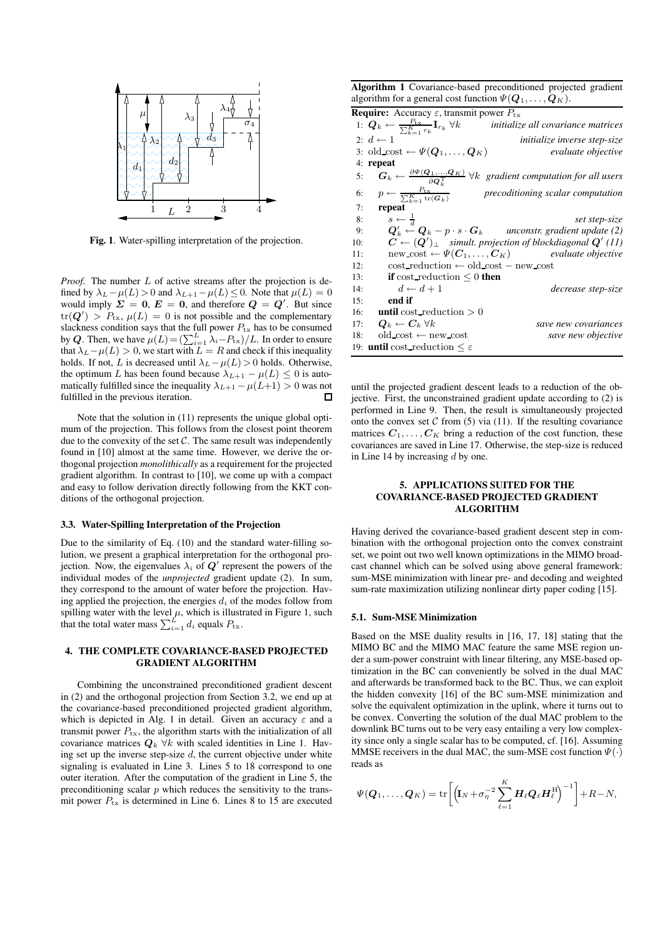

**Fig. 1**. Water-spilling interpretation of the projection.

*Proof.* The number L of active streams after the projection is defined by  $\lambda_L - \mu(L) > 0$  and  $\lambda_{L+1} - \mu(L) \leq 0$ . Note that  $\mu(L) = 0$ would imply  $\Sigma = 0$ ,  $E = 0$ , and therefore  $Q = Q'$ . But since  $tr(\mathbf{Q}') > P_{tx}$ ,  $\mu(L) = 0$  is not possible and the complementary slackness condition says that the full power  $P_{\text{tx}}$  has to be consumed by Q. Then, we have  $\mu(L) = (\sum_{i=1}^{L} \lambda_i - P_{\text{tx}})/L$ . In order to ensure that  $\lambda_L - \mu(L) > 0$ , we start with  $L = R$  and check if this inequality holds. If not, L is decreased until  $\lambda_L - \mu(L) > 0$  holds. Otherwise, the optimum L has been found because  $\lambda_{L+1} - \mu(L) \leq 0$  is automatically fulfilled since the inequality  $\lambda_{L+1} - \mu(L+1) > 0$  was not fulfilled in the previous iteration.  $\Box$ 

Note that the solution in (11) represents the unique global optimum of the projection. This follows from the closest point theorem due to the convexity of the set  $C$ . The same result was independently found in [10] almost at the same time. However, we derive the orthogonal projection *monolithically* as a requirement for the projected gradient algorithm. In contrast to [10], we come up with a compact and easy to follow derivation directly following from the KKT conditions of the orthogonal projection.

#### **3.3. Water-Spilling Interpretation of the Projection**

Due to the similarity of Eq. (10) and the standard water-filling solution, we present a graphical interpretation for the orthogonal projection. Now, the eigenvalues  $\lambda_i$  of  $\boldsymbol{Q}'$  represent the powers of the individual modes of the *unprojected* gradient update (2). In sum, they correspond to the amount of water before the projection. Having applied the projection, the energies  $d_i$  of the modes follow from spilling water with the level  $\mu$ , which is illustrated in Figure 1, such that the total water mass  $\sum_{i=1}^{L} d_i$  equals  $P_{\text{tx}}$ .

# **4. THE COMPLETE COVARIANCE-BASED PROJECTED GRADIENT ALGORITHM**

Combining the unconstrained preconditioned gradient descent in (2) and the orthogonal projection from Section 3.2, we end up at the covariance-based preconditioned projected gradient algorithm, which is depicted in Alg. 1 in detail. Given an accuracy  $\varepsilon$  and a transmit power  $P_{\text{tx}}$ , the algorithm starts with the initialization of all covariance matrices  $Q_k$   $\forall k$  with scaled identities in Line 1. Having set up the inverse step-size  $d$ , the current objective under white signaling is evaluated in Line 3. Lines 5 to 18 correspond to one outer iteration. After the computation of the gradient in Line 5, the preconditioning scalar  $p$  which reduces the sensitivity to the transmit power  $P_{\text{tx}}$  is determined in Line 6. Lines 8 to 15 are executed

**Algorithm 1** Covariance-based preconditioned projected gradient algorithm for a general cost function  $\Psi(Q_1, \ldots, Q_K)$ .

| <b>Require:</b> Accuracy $\varepsilon$ , transmit power $P_{\text{tx}}$ |                                                                                                  |                                                                                                              |
|-------------------------------------------------------------------------|--------------------------------------------------------------------------------------------------|--------------------------------------------------------------------------------------------------------------|
|                                                                         | 1: $\mathbf{Q}_k \leftarrow \frac{P_{\text{tx}}}{\sum_{k=1}^K r_k} \mathbf{I}_{r_k} \ \forall k$ | initialize all covariance matrices                                                                           |
|                                                                         | 2: $d \leftarrow 1$                                                                              | <i>initialize inverse step-size</i>                                                                          |
|                                                                         | 3: old cost $\leftarrow \Psi(\boldsymbol{Q}_1,\ldots,\boldsymbol{Q}_K)$                          | evaluate objective                                                                                           |
|                                                                         | 4: repeat                                                                                        |                                                                                                              |
| 5:                                                                      |                                                                                                  | $G_k \leftarrow \frac{\partial \Psi(Q_1,,Q_K)}{\partial Q^T}$ $\forall k$ gradient computation for all users |
|                                                                         | 6: $p \leftarrow \frac{P_{\text{tx}}}{\sum_{k=1}^{K} \text{tr}(G_k)}$                            | precoditioning scalar computation                                                                            |
| 7:                                                                      | repeat                                                                                           |                                                                                                              |
| 8:                                                                      | $s \leftarrow \frac{1}{d}$                                                                       | set step-size                                                                                                |
| 9:                                                                      |                                                                                                  | $Q'_k \leftarrow Q_k - p \cdot s \cdot G_k$ unconstr. gradient update (2)                                    |
| 10:                                                                     |                                                                                                  | $C \leftarrow (Q')_{\perp}$ simult. projection of blockdiagonal $Q'$ (11)                                    |
| 11:                                                                     |                                                                                                  | new cost $\leftarrow \Psi(\mathbf{C}_1, \ldots, \mathbf{C}_K)$ evaluate objective                            |
| 12:                                                                     | $\cot$ -reduction $\leftarrow$ old-cost – new cost                                               |                                                                                                              |
| 13:                                                                     | if cost reduction $\leq 0$ then                                                                  |                                                                                                              |
| 14:                                                                     | $d \leftarrow d+1$                                                                               | decrease step-size                                                                                           |
| 15:                                                                     | end if                                                                                           |                                                                                                              |
| 16:                                                                     | <b>until</b> cost reduction $>0$                                                                 |                                                                                                              |
| 17:                                                                     | $\boldsymbol{Q}_k \leftarrow \boldsymbol{C}_k \ \forall k$                                       | save new covariances                                                                                         |
| 18:                                                                     | $old\_{cost} \leftarrow new\_{cost}$                                                             | save new objective                                                                                           |
|                                                                         | 19: <b>until</b> cost_reduction $\leq \varepsilon$                                               |                                                                                                              |

until the projected gradient descent leads to a reduction of the objective. First, the unconstrained gradient update according to (2) is performed in Line 9. Then, the result is simultaneously projected onto the convex set  $C$  from (5) via (11). If the resulting covariance matrices  $C_1, \ldots, C_K$  bring a reduction of the cost function, these covariances are saved in Line 17. Otherwise, the step-size is reduced in Line 14 by increasing  $d$  by one.

## **5. APPLICATIONS SUITED FOR THE COVARIANCE-BASED PROJECTED GRADIENT ALGORITHM**

Having derived the covariance-based gradient descent step in combination with the orthogonal projection onto the convex constraint set, we point out two well known optimizations in the MIMO broadcast channel which can be solved using above general framework: sum-MSE minimization with linear pre- and decoding and weighted sum-rate maximization utilizing nonlinear dirty paper coding [15].

## **5.1. Sum-MSE Minimization**

Based on the MSE duality results in [16, 17, 18] stating that the MIMO BC and the MIMO MAC feature the same MSE region under a sum-power constraint with linear filtering, any MSE-based optimization in the BC can conveniently be solved in the dual MAC and afterwards be transformed back to the BC. Thus, we can exploit the hidden convexity [16] of the BC sum-MSE minimization and solve the equivalent optimization in the uplink, where it turns out to be convex. Converting the solution of the dual MAC problem to the downlink BC turns out to be very easy entailing a very low complexity since only a single scalar has to be computed, cf. [16]. Assuming MMSE receivers in the dual MAC, the sum-MSE cost function  $\Psi(\cdot)$ reads as

$$
\Psi(\boldsymbol{Q}_1,\ldots,\boldsymbol{Q}_K)=\text{tr}\bigg[\Big(\mathbf{I}_N+\sigma_\eta^{-2}\sum_{\ell=1}^K\boldsymbol{H}_\ell\boldsymbol{Q}_\ell\boldsymbol{H}_\ell^{\text{H}}\Big)^{-1}\bigg]+R-N,
$$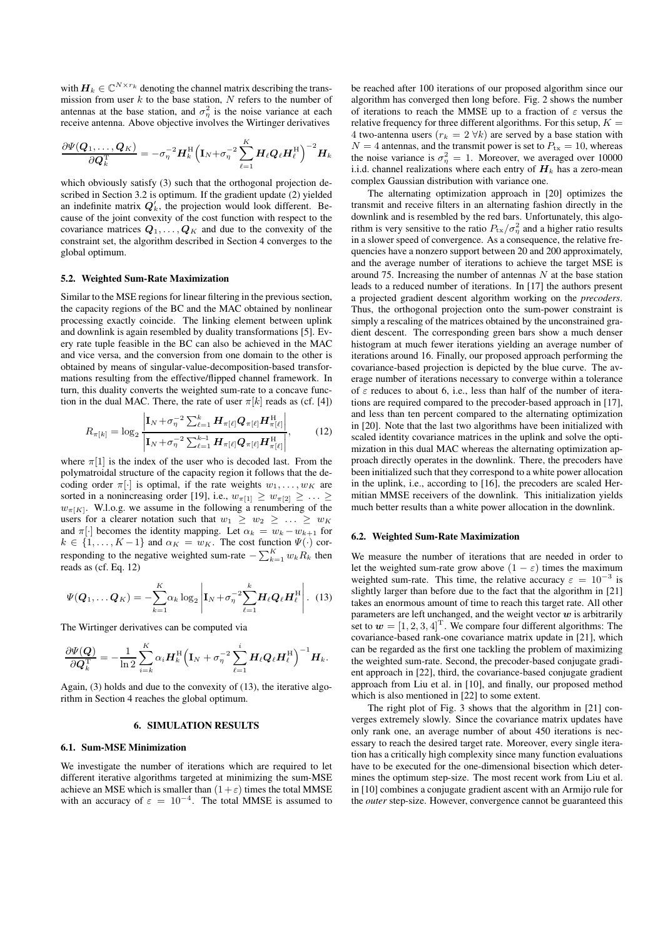with  $\mathbf{H}_k \in \mathbb{C}^{N \times r_k}$  denoting the channel matrix describing the transmission from user  $k$  to the base station,  $N$  refers to the number of antennas at the base station, and  $\sigma_{\eta}^2$  is the noise variance at each receive antenna. Above objective involves the Wirtinger derivatives

$$
\frac{\partial \Psi(\boldsymbol{Q}_1, \dots, \boldsymbol{Q}_K)}{\partial \boldsymbol{Q}_k^\mathrm{T}} = - \sigma_{\eta}^{-2} \boldsymbol{H}_k^\mathrm{H} \Big(\mathbf{I}_N + \sigma_{\eta}^{-2} \sum_{\ell=1}^K \boldsymbol{H}_{\ell} \boldsymbol{Q}_{\ell} \boldsymbol{H}_{\ell}^\mathrm{H} \Big)^{-2} \boldsymbol{H}_k
$$

which obviously satisfy (3) such that the orthogonal projection described in Section 3.2 is optimum. If the gradient update (2) yielded an indefinite matrix  $Q'_k$ , the projection would look different. Because of the joint convexity of the cost function with respect to the covariance matrices  $Q_1, \ldots, Q_K$  and due to the convexity of the constraint set, the algorithm described in Section 4 converges to the global optimum.

## **5.2. Weighted Sum-Rate Maximization**

Similar to the MSE regions for linear filtering in the previous section, the capacity regions of the BC and the MAC obtained by nonlinear processing exactly coincide. The linking element between uplink and downlink is again resembled by duality transformations [5]. Every rate tuple feasible in the BC can also be achieved in the MAC and vice versa, and the conversion from one domain to the other is obtained by means of singular-value-decomposition-based transformations resulting from the effective/flipped channel framework. In turn, this duality converts the weighted sum-rate to a concave function in the dual MAC. There, the rate of user  $\pi[k]$  reads as (cf. [4])

$$
R_{\pi[k]} = \log_2 \frac{\left|\mathbf{I}_N + \sigma_{\eta}^{-2} \sum_{\ell=1}^k \mathbf{H}_{\pi[\ell]} \mathbf{Q}_{\pi[\ell]} \mathbf{H}_{\pi[\ell]}^{\mathrm{H}}\right|}{\left|\mathbf{I}_N + \sigma_{\eta}^{-2} \sum_{\ell=1}^{k-1} \mathbf{H}_{\pi[\ell]} \mathbf{Q}_{\pi[\ell]} \mathbf{H}_{\pi[\ell]}^{\mathrm{H}}\right|},\tag{12}
$$

where  $\pi[1]$  is the index of the user who is decoded last. From the polymatroidal structure of the capacity region it follows that the decoding order  $\pi[\cdot]$  is optimal, if the rate weights  $w_1, \ldots, w_K$  are sorted in a nonincreasing order [19], i.e.,  $w_{\pi[1]} \geq w_{\pi[2]} \geq \ldots \geq$  $w_{\pi[K]}$ . W.l.o.g. we assume in the following a renumbering of the users for a clearer notation such that  $w_1 \geq w_2 \geq \ldots \geq w_K$ and  $\pi[\cdot]$  becomes the identity mapping. Let  $\alpha_k = w_k - w_{k+1}$  for  $k \in \{1, \ldots, K-1\}$  and  $\alpha_K = w_K$ . The cost function  $\Psi(\cdot)$  corresponding to the negative weighted sum-rate  $-\sum_{k=1}^{K} w_k R_k$  then reads as (cf. Eq. 12)

$$
\Psi(\boldsymbol{Q}_1,\ldots\boldsymbol{Q}_K)=-\sum_{k=1}^K\alpha_k\log_2\left|\mathbf{I}_N+\sigma_\eta^{-2}\sum_{\ell=1}^k\boldsymbol{H}_\ell\boldsymbol{Q}_\ell\boldsymbol{H}_\ell^{\mathrm{H}}\right|.\tag{13}
$$

The Wirtinger derivatives can be computed via

$$
\frac{\partial \Psi(\mathbf{Q})}{\partial \mathbf{Q}_k^{\mathrm{T}}} = -\frac{1}{\ln 2} \sum_{i=k}^K \alpha_i \mathbf{H}_k^{\mathrm{H}} \Big(\mathbf{I}_N + \sigma_{\eta}^{-2} \sum_{\ell=1}^i \mathbf{H}_{\ell} \mathbf{Q}_{\ell} \mathbf{H}_{\ell}^{\mathrm{H}}\Big)^{-1} \mathbf{H}_k.
$$

Again, (3) holds and due to the convexity of (13), the iterative algorithm in Section 4 reaches the global optimum.

## **6. SIMULATION RESULTS**

#### **6.1. Sum-MSE Minimization**

We investigate the number of iterations which are required to let different iterative algorithms targeted at minimizing the sum-MSE achieve an MSE which is smaller than  $(1+\varepsilon)$  times the total MMSE with an accuracy of  $\varepsilon = 10^{-4}$ . The total MMSE is assumed to be reached after 100 iterations of our proposed algorithm since our algorithm has converged then long before. Fig. 2 shows the number of iterations to reach the MMSE up to a fraction of  $\varepsilon$  versus the relative frequency for three different algorithms. For this setup,  $K =$ 4 two-antenna users  $(r_k = 2 \forall k)$  are served by a base station with  $N = 4$  antennas, and the transmit power is set to  $P_{\text{tx}} = 10$ , whereas the noise variance is  $\sigma_{\eta}^2 = 1$ . Moreover, we averaged over 10000 i.i.d. channel realizations where each entry of  $H_k$  has a zero-mean complex Gaussian distribution with variance one.

The alternating optimization approach in [20] optimizes the transmit and receive filters in an alternating fashion directly in the downlink and is resembled by the red bars. Unfortunately, this algorithm is very sensitive to the ratio  $P_{\text{tx}}/\sigma_{\eta}^2$  and a higher ratio results in a slower speed of convergence. As a consequence, the relative frequencies have a nonzero support between 20 and 200 approximately, and the average number of iterations to achieve the target MSE is around 75. Increasing the number of antennas  $N$  at the base station leads to a reduced number of iterations. In [17] the authors present a projected gradient descent algorithm working on the *precoders*. Thus, the orthogonal projection onto the sum-power constraint is simply a rescaling of the matrices obtained by the unconstrained gradient descent. The corresponding green bars show a much denser histogram at much fewer iterations yielding an average number of iterations around 16. Finally, our proposed approach performing the covariance-based projection is depicted by the blue curve. The average number of iterations necessary to converge within a tolerance of  $\varepsilon$  reduces to about 6, i.e., less than half of the number of iterations are required compared to the precoder-based approach in [17], and less than ten percent compared to the alternating optimization in [20]. Note that the last two algorithms have been initialized with scaled identity covariance matrices in the uplink and solve the optimization in this dual MAC whereas the alternating optimization approach directly operates in the downlink. There, the precoders have been initialized such that they correspond to a white power allocation in the uplink, i.e., according to [16], the precoders are scaled Hermitian MMSE receivers of the downlink. This initialization yields much better results than a white power allocation in the downlink.

#### **6.2. Weighted Sum-Rate Maximization**

We measure the number of iterations that are needed in order to let the weighted sum-rate grow above  $(1 - \varepsilon)$  times the maximum weighted sum-rate. This time, the relative accuracy  $\varepsilon = 10^{-3}$  is slightly larger than before due to the fact that the algorithm in [21] takes an enormous amount of time to reach this target rate. All other parameters are left unchanged, and the weight vector  $w$  is arbitrarily set to  $w = [1, 2, 3, 4]^T$ . We compare four different algorithms: The covariance-based rank-one covariance matrix update in [21], which can be regarded as the first one tackling the problem of maximizing the weighted sum-rate. Second, the precoder-based conjugate gradient approach in [22], third, the covariance-based conjugate gradient approach from Liu et al. in [10], and finally, our proposed method which is also mentioned in [22] to some extent.

The right plot of Fig. 3 shows that the algorithm in [21] converges extremely slowly. Since the covariance matrix updates have only rank one, an average number of about 450 iterations is necessary to reach the desired target rate. Moreover, every single iteration has a critically high complexity since many function evaluations have to be executed for the one-dimensional bisection which determines the optimum step-size. The most recent work from Liu et al. in [10] combines a conjugate gradient ascent with an Armijo rule for the *outer* step-size. However, convergence cannot be guaranteed this